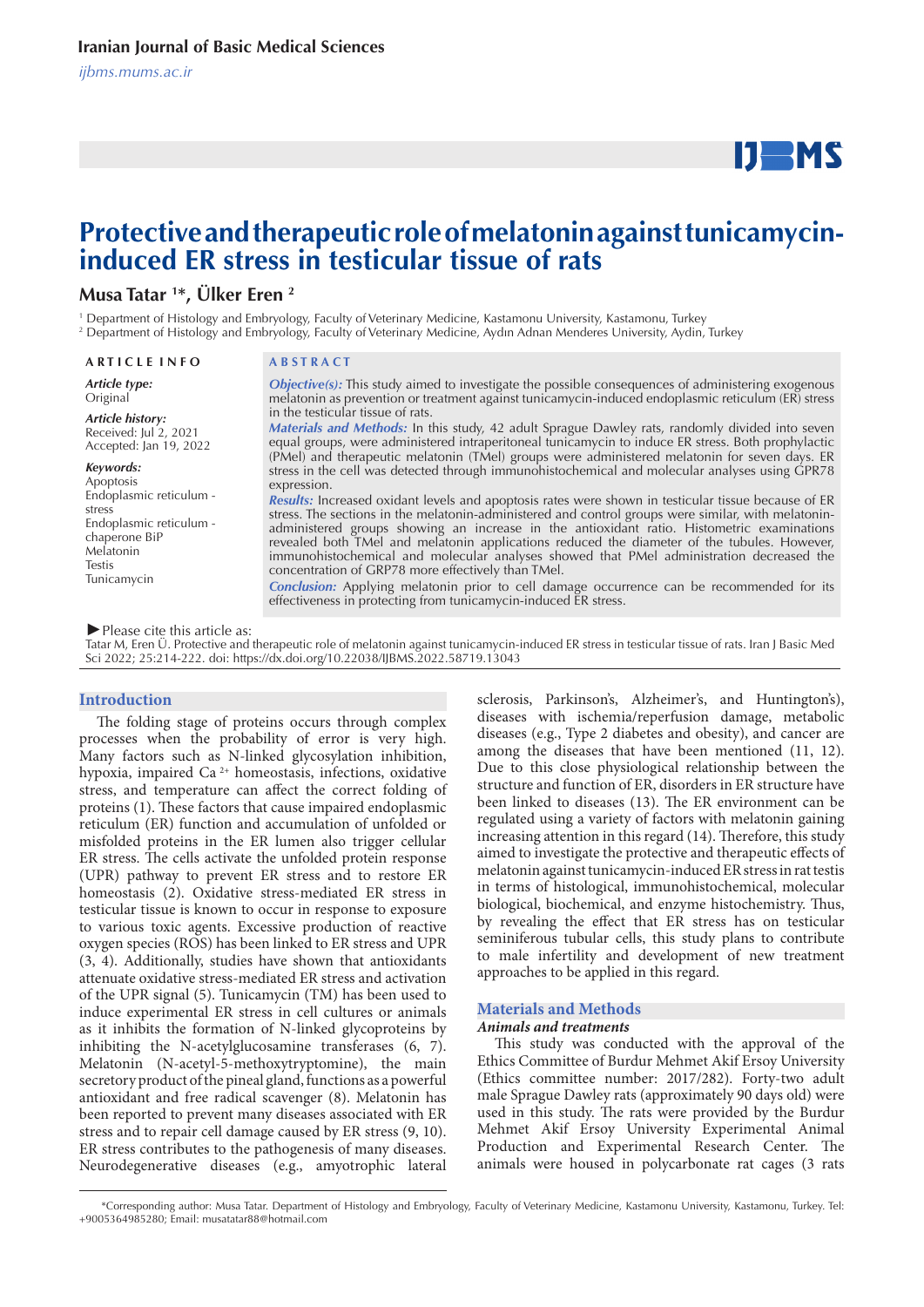# **IJEMS**

# **Protective and therapeutic role of melatonin against tunicamycininduced ER stress in testicular tissue of rats**

### **Musa Tatar 1 \*, Ülker Eren 2**

1 Department of Histology and Embryology, Faculty of Veterinary Medicine, Kastamonu University, Kastamonu, Turkey 2 Department of Histology and Embryology, Faculty of Veterinary Medicine, Aydın Adnan Menderes University, Aydin, Turkey

*Article type:*

## **A R T I C L E I N F O A B S T R A C T**

Original

*Article history:* Received: Jul 2, 2021 Accepted: Jan 19, 2022

*Keywords:*

Apoptosis Endoplasmic reticulum stress Endoplasmic reticulum chaperone BiP Melatonin Testis Tunicamycin

*Objective(s):* This study aimed to investigate the possible consequences of administering exogenous melatonin as prevention or treatment against tunicamycin-induced endoplasmic reticulum (ER) stress

in the testicular tissue of rats. *Materials and Methods:* In this study, 42 adult Sprague Dawley rats, randomly divided into seven equal groups, were administered intraperitoneal tunicamycin to induce ER stress. Both prophylactic (PMel) and therapeutic melatonin (TMel) groups were administered melatonin for seven days. ER stress in the cell was detected through immunohistochemical and molecular analyses using GPR78 expression.

*Results:* Increased oxidant levels and apoptosis rates were shown in testicular tissue because of ER stress. The sections in the melatonin-administered and control groups were similar, with melatoninadministered groups showing an increase in the antioxidant ratio. Histometric examinations revealed both TMel and melatonin applications reduced the diameter of the tubules. However, immunohistochemical and molecular analyses showed that PMel administration decreased the concentration of GRP78 more effectively than TMel.

*Conclusion:* Applying melatonin prior to cell damage occurrence can be recommended for its effectiveness in protecting from tunicamycin-induced ER stress.

*►*Please cite this article as:

Tatar M, Eren Ü. Protective and therapeutic role of melatonin against tunicamycin-induced ER stress in testicular tissue of rats. Iran J Basic Med Sci 2022; 25:214-222. doi: https://dx.doi.org/10.22038/IJBMS.2022.58719.13043

#### **Introduction**

The folding stage of proteins occurs through complex processes when the probability of error is very high. Many factors such as N-linked glycosylation inhibition, hypoxia, impaired Ca 2+ homeostasis, infections, oxidative stress, and temperature can affect the correct folding of proteins (1). These factors that cause impaired endoplasmic reticulum (ER) function and accumulation of unfolded or misfolded proteins in the ER lumen also trigger cellular ER stress. The cells activate the unfolded protein response (UPR) pathway to prevent ER stress and to restore ER homeostasis (2). Oxidative stress-mediated ER stress in testicular tissue is known to occur in response to exposure to various toxic agents. Excessive production of reactive oxygen species (ROS) has been linked to ER stress and UPR (3, 4). Additionally, studies have shown that antioxidants attenuate oxidative stress-mediated ER stress and activation of the UPR signal (5). Tunicamycin (TM) has been used to induce experimental ER stress in cell cultures or animals as it inhibits the formation of N-linked glycoproteins by inhibiting the N-acetylglucosamine transferases (6, 7). Melatonin (N-acetyl-5-methoxytryptomine), the main secretory product of the pineal gland, functions as a powerful antioxidant and free radical scavenger (8). Melatonin has been reported to prevent many diseases associated with ER stress and to repair cell damage caused by ER stress (9, 10). ER stress contributes to the pathogenesis of many diseases. Neurodegenerative diseases (e.g., amyotrophic lateral

sclerosis, Parkinson's, Alzheimer's, and Huntington's), diseases with ischemia/reperfusion damage, metabolic diseases (e.g., Type 2 diabetes and obesity), and cancer are among the diseases that have been mentioned (11, 12). Due to this close physiological relationship between the structure and function of ER, disorders in ER structure have been linked to diseases (13). The ER environment can be regulated using a variety of factors with melatonin gaining increasing attention in this regard (14). Therefore, this study aimed to investigate the protective and therapeutic effects of melatonin against tunicamycin-induced ER stress in rat testis in terms of histological, immunohistochemical, molecular biological, biochemical, and enzyme histochemistry. Thus, by revealing the effect that ER stress has on testicular seminiferous tubular cells, this study plans to contribute to male infertility and development of new treatment approaches to be applied in this regard.

#### **Materials and Methods**

#### *Animals and treatments*

This study was conducted with the approval of the Ethics Committee of Burdur Mehmet Akif Ersoy University (Ethics committee number: 2017/282). Forty-two adult male Sprague Dawley rats (approximately 90 days old) were used in this study. The rats were provided by the Burdur Mehmet Akif Ersoy University Experimental Animal Production and Experimental Research Center. The animals were housed in polycarbonate rat cages (3 rats

 <sup>\*</sup>Corresponding author: Musa Tatar. Department of Histology and Embryology, Faculty of Veterinary Medicine, Kastamonu University, Kastamonu, Turkey. Tel: +9005364985280; Email: musatatar88@hotmail.com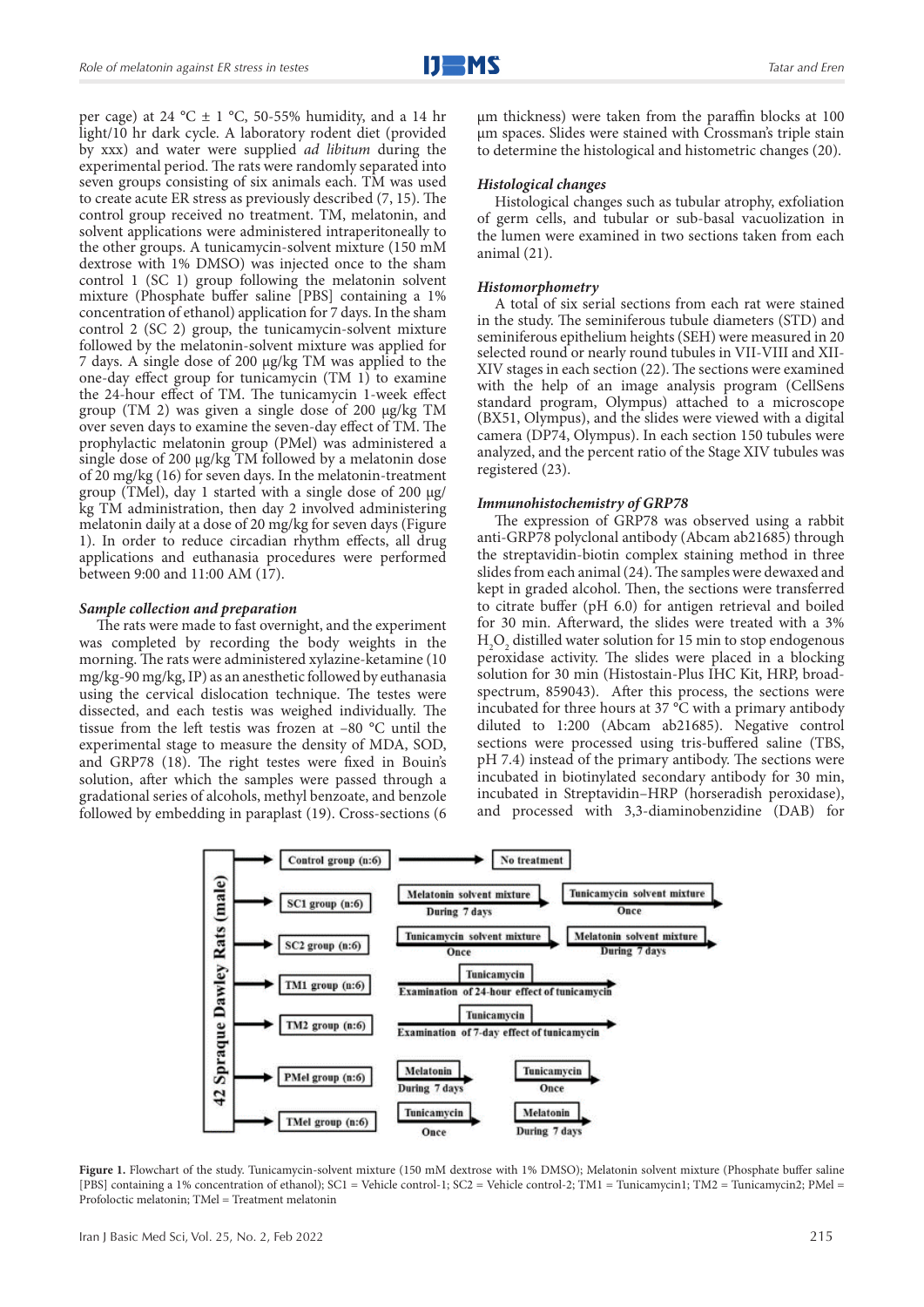per cage) at 24 °C  $\pm$  1 °C, 50-55% humidity, and a 14 hr light/10 hr dark cycle. A laboratory rodent diet (provided by xxx) and water were supplied *ad libitum* during the experimental period. The rats were randomly separated into seven groups consisting of six animals each. TM was used to create acute ER stress as previously described (7, 15). The control group received no treatment. TM, melatonin, and solvent applications were administered intraperitoneally to the other groups. A tunicamycin-solvent mixture (150 mM dextrose with 1% DMSO) was injected once to the sham control 1 (SC 1) group following the melatonin solvent mixture (Phosphate buffer saline [PBS] containing a 1% concentration of ethanol) application for 7 days. In the sham control 2 (SC 2) group, the tunicamycin-solvent mixture followed by the melatonin-solvent mixture was applied for 7 days. A single dose of 200 µg/kg TM was applied to the one-day effect group for tunicamycin (TM 1) to examine the 24-hour effect of TM. The tunicamycin 1-week effect group (TM 2) was given a single dose of 200 µg/kg TM over seven days to examine the seven-day effect of TM. The prophylactic melatonin group (PMel) was administered a single dose of 200 µg/kg TM followed by a melatonin dose of 20 mg/kg (16) for seven days. In the melatonin-treatment group (TMel), day 1 started with a single dose of 200 µg/ kg TM administration, then day 2 involved administering melatonin daily at a dose of 20 mg/kg for seven days (Figure 1). In order to reduce circadian rhythm effects, all drug applications and euthanasia procedures were performed between 9:00 and 11:00 AM (17).

#### *Sample collection and preparation*

The rats were made to fast overnight, and the experiment was completed by recording the body weights in the morning. The rats were administered xylazine-ketamine (10 mg/kg-90 mg/kg, IP) as an anesthetic followed by euthanasia using the cervical dislocation technique. The testes were dissected, and each testis was weighed individually. The tissue from the left testis was frozen at –80 °C until the experimental stage to measure the density of MDA, SOD, and GRP78 (18). The right testes were fixed in Bouin's solution, after which the samples were passed through a gradational series of alcohols, methyl benzoate, and benzole followed by embedding in paraplast (19). Cross-sections (6

µm thickness) were taken from the paraffin blocks at 100 µm spaces. Slides were stained with Crossman's triple stain to determine the histological and histometric changes (20).

#### *Histological changes*

Histological changes such as tubular atrophy, exfoliation of germ cells, and tubular or sub-basal vacuolization in the lumen were examined in two sections taken from each animal (21).

#### *Histomorphometry*

A total of six serial sections from each rat were stained in the study. The seminiferous tubule diameters (STD) and seminiferous epithelium heights (SEH) were measured in 20 selected round or nearly round tubules in VII-VIII and XII-XIV stages in each section (22). The sections were examined with the help of an image analysis program (CellSens standard program, Olympus) attached to a microscope (BX51, Olympus), and the slides were viewed with a digital camera (DP74, Olympus). In each section 150 tubules were analyzed, and the percent ratio of the Stage XIV tubules was registered (23).

#### *Immunohistochemistry of GRP78*

The expression of GRP78 was observed using a rabbit anti-GRP78 polyclonal antibody (Abcam ab21685) through the streptavidin-biotin complex staining method in three slides from each animal (24). The samples were dewaxed and kept in graded alcohol. Then, the sections were transferred to citrate buffer (pH 6.0) for antigen retrieval and boiled for 30 min. Afterward, the slides were treated with a 3%  $H_2O_2$  distilled water solution for 15 min to stop endogenous peroxidase activity. The slides were placed in a blocking solution for 30 min (Histostain-Plus IHC Kit, HRP, broadspectrum, 859043). After this process, the sections were incubated for three hours at 37 °C with a primary antibody diluted to 1:200 (Abcam ab21685). Negative control sections were processed using tris-buffered saline (TBS, pH 7.4) instead of the primary antibody. The sections were incubated in biotinylated secondary antibody for 30 min, incubated in Streptavidin–HRP (horseradish peroxidase), and processed with 3,3-diaminobenzidine (DAB) for



Figure 1. Flowchart of the study. Tunicamycin-solvent mixture (150 mM dextrose with 1% DMSO); Melatonin solvent mixture (Phosphate buffer saline [PBS] containing a 1% concentration of ethanol); SC1 = Vehicle control-1; SC2 = Vehicle control-2; TM1 = Tunicamycin1; TM2 = Tunicamycin2; PMel = Profoloctic melatonin; TMel = Treatment melatonin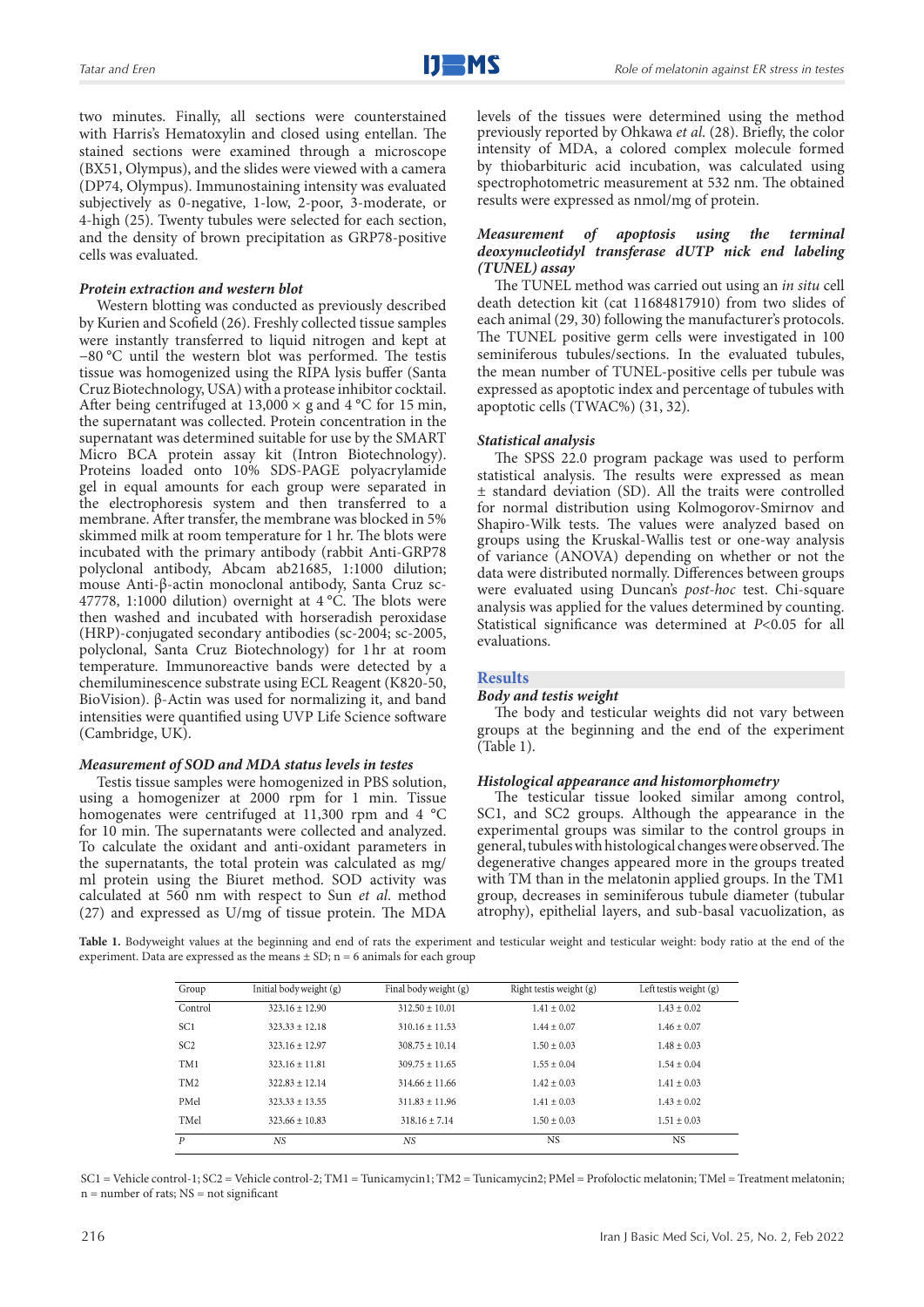two minutes. Finally, all sections were counterstained with Harris's Hematoxylin and closed using entellan. The stained sections were examined through a microscope (BX51, Olympus), and the slides were viewed with a camera (DP74, Olympus). Immunostaining intensity was evaluated subjectively as 0-negative, 1-low, 2-poor, 3-moderate, or 4-high (25). Twenty tubules were selected for each section, and the density of brown precipitation as GRP78-positive cells was evaluated.

#### *Protein extraction and western blot*

Western blotting was conducted as previously described by Kurien and Scofield (26). Freshly collected tissue samples were instantly transferred to liquid nitrogen and kept at −80 °C until the western blot was performed. The testis tissue was homogenized using the RIPA lysis buffer (Santa Cruz Biotechnology, USA) with a protease inhibitor cocktail. After being centrifuged at  $13,000 \times$  g and 4 °C for 15 min, the supernatant was collected. Protein concentration in the supernatant was determined suitable for use by the SMART Micro BCA protein assay kit (Intron Biotechnology). Proteins loaded onto 10% SDS-PAGE polyacrylamide gel in equal amounts for each group were separated in the electrophoresis system and then transferred to a membrane. After transfer, the membrane was blocked in 5% skimmed milk at room temperature for 1 hr. The blots were incubated with the primary antibody (rabbit Anti-GRP78 polyclonal antibody, Abcam ab21685, 1:1000 dilution; mouse Anti-β-actin monoclonal antibody, Santa Cruz sc-47778, 1:1000 dilution) overnight at 4 °C. The blots were then washed and incubated with horseradish peroxidase (HRP)-conjugated secondary antibodies (sc-2004; sc-2005, polyclonal, Santa Cruz Biotechnology) for 1hr at room temperature. Immunoreactive bands were detected by a chemiluminescence substrate using ECL Reagent (K820-50, BioVision). β-Actin was used for normalizing it, and band intensities were quantified using UVP Life Science software (Cambridge, UK).

#### *Measurement of SOD and MDA status levels in testes*

Testis tissue samples were homogenized in PBS solution, using a homogenizer at 2000 rpm for 1 min. Tissue homogenates were centrifuged at 11,300 rpm and 4 °C for 10 min. The supernatants were collected and analyzed. To calculate the oxidant and anti-oxidant parameters in the supernatants, the total protein was calculated as mg/ ml protein using the Biuret method. SOD activity was calculated at 560 nm with respect to Sun *et al*. method (27) and expressed as U/mg of tissue protein. The MDA

levels of the tissues were determined using the method previously reported by Ohkawa *et al*. (28). Briefly, the color intensity of MDA, a colored complex molecule formed by thiobarbituric acid incubation, was calculated using spectrophotometric measurement at 532 nm. The obtained results were expressed as nmol/mg of protein.

#### *Measurement of apoptosis using the terminal deoxynucleotidyl transferase dUTP nick end labeling (TUNEL) assay*

The TUNEL method was carried out using an *in situ* cell death detection kit (cat 11684817910) from two slides of each animal (29, 30) following the manufacturer's protocols. The TUNEL positive germ cells were investigated in 100 seminiferous tubules/sections. In the evaluated tubules, the mean number of TUNEL-positive cells per tubule was expressed as apoptotic index and percentage of tubules with apoptotic cells (TWAC%) (31, 32).

#### *Statistical analysis*

The SPSS 22.0 program package was used to perform statistical analysis. The results were expressed as mean ± standard deviation (SD). All the traits were controlled for normal distribution using Kolmogorov-Smirnov and Shapiro-Wilk tests. The values were analyzed based on groups using the Kruskal-Wallis test or one-way analysis of variance (ANOVA) depending on whether or not the data were distributed normally. Differences between groups were evaluated using Duncan's *post-hoc* test. Chi-square analysis was applied for the values determined by counting. Statistical significance was determined at *P*<0.05 for all evaluations.

#### **Results**

#### *Body and testis weight*

The body and testicular weights did not vary between groups at the beginning and the end of the experiment (Table 1).

#### *Histological appearance and histomorphometry*

The testicular tissue looked similar among control, SC1, and SC2 groups. Although the appearance in the experimental groups was similar to the control groups in general, tubules with histological changes were observed. The degenerative changes appeared more in the groups treated with TM than in the melatonin applied groups. In the TM1 group, decreases in seminiferous tubule diameter (tubular atrophy), epithelial layers, and sub-basal vacuolization, as

Table 1. Bodyweight values at the beginning and end of rats the experiment and testicular weight and testicular weight: body ratio at the end of the experiment. Data are expressed as the means  $\pm$  SD; n = 6 animals for each group

| Group           | Initial body weight (g) | Final body weight (g) | Right testis weight (g) | Left testis weight (g) |
|-----------------|-------------------------|-----------------------|-------------------------|------------------------|
| Control         | $323.16 \pm 12.90$      | $312.50 \pm 10.01$    | $1.41 \pm 0.02$         | $1.43 \pm 0.02$        |
| SC <sub>1</sub> | $323.33 \pm 12.18$      | $310.16 \pm 11.53$    | $1.44 \pm 0.07$         | $1.46 \pm 0.07$        |
| SC <sub>2</sub> | $323.16 + 12.97$        | $308.75 + 10.14$      | $1.50 + 0.03$           | $1.48 + 0.03$          |
| TM1             | $323.16 \pm 11.81$      | $309.75 \pm 11.65$    | $1.55 \pm 0.04$         | $1.54 \pm 0.04$        |
| TM <sub>2</sub> | $322.83 \pm 12.14$      | $314.66 \pm 11.66$    | $1.42 \pm 0.03$         | $1.41 \pm 0.03$        |
| PMel            | $323.33 \pm 13.55$      | $311.83 \pm 11.96$    | $1.41 \pm 0.03$         | $1.43 \pm 0.02$        |
| TMel            | $323.66 \pm 10.83$      | $318.16 \pm 7.14$     | $1.50 \pm 0.03$         | $1.51 \pm 0.03$        |
| P               | NS.                     | NS                    | <b>NS</b>               | <b>NS</b>              |

SC1 = Vehicle control-1; SC2 = Vehicle control-2; TM1 = Tunicamycin1; TM2 = Tunicamycin2; PMel = Profoloctic melatonin; TMel = Treatment melatonin; n = number of rats; NS = not significant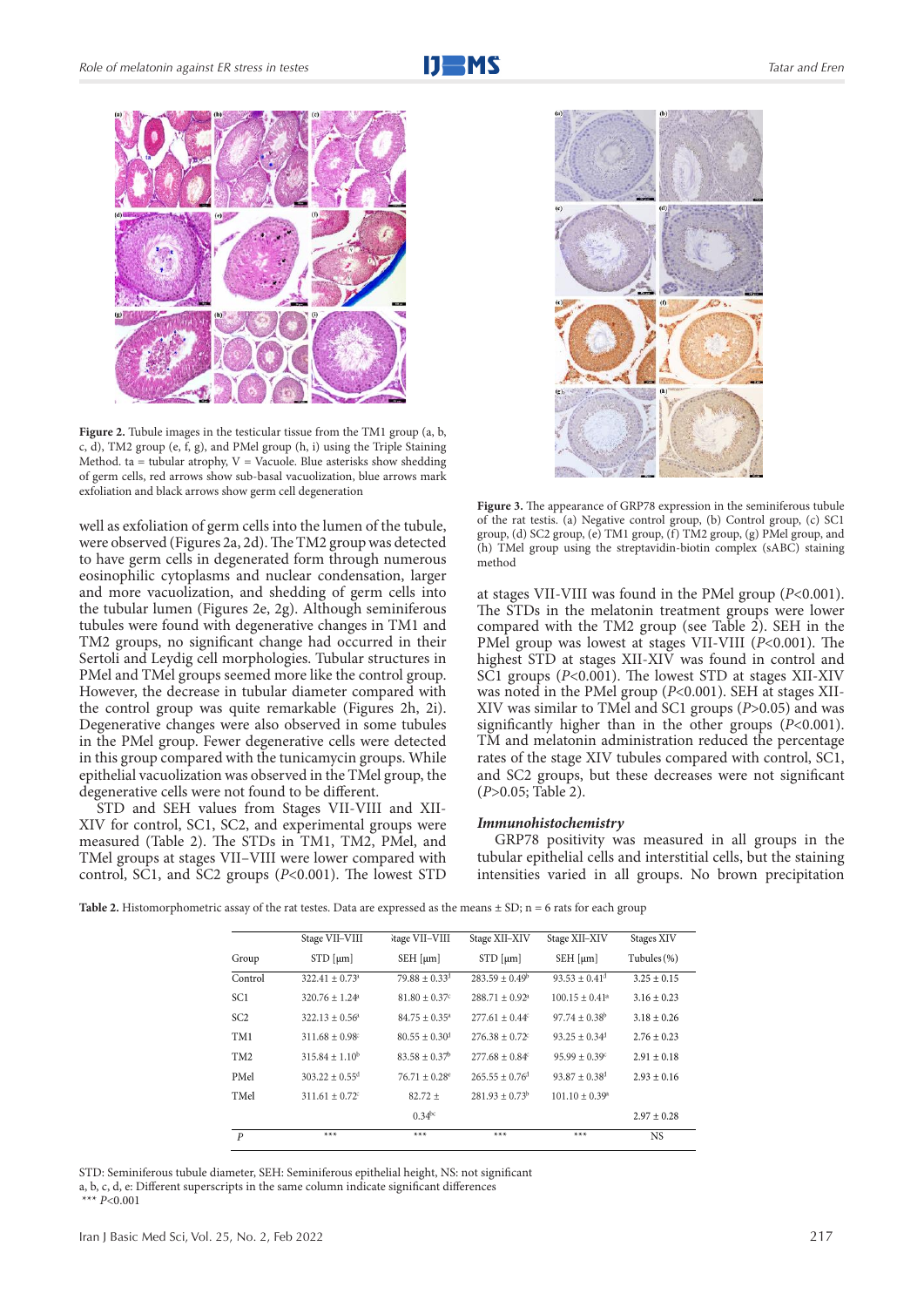

Figure 2. Tubule images in the testicular tissue from the TM1 group (a, b, c, d), TM2 group (e, f, g), and PMel group (h, i) using the Triple Staining Method. ta = tubular atrophy,  $V =$  Vacuole. Blue asterisks show shedding of germ cells, red arrows show sub-basal vacuolization, blue arrows mark exfoliation and black arrows show germ cell degeneration

well as exfoliation of germ cells into the lumen of the tubule, were observed (Figures 2a, 2d). The TM2 group was detected to have germ cells in degenerated form through numerous eosinophilic cytoplasms and nuclear condensation, larger and more vacuolization, and shedding of germ cells into the tubular lumen (Figures 2e, 2g). Although seminiferous tubules were found with degenerative changes in TM1 and TM2 groups, no significant change had occurred in their Sertoli and Leydig cell morphologies. Tubular structures in PMel and TMel groups seemed more like the control group. However, the decrease in tubular diameter compared with the control group was quite remarkable (Figures 2h, 2i). Degenerative changes were also observed in some tubules in the PMel group. Fewer degenerative cells were detected in this group compared with the tunicamycin groups. While epithelial vacuolization was observed in the TMel group, the degenerative cells were not found to be different.

STD and SEH values from Stages VII-VIII and XII-XIV for control, SC1, SC2, and experimental groups were measured (Table 2). The STDs in TM1, TM2, PMel, and TMel groups at stages VII–VIII were lower compared with control, SC1, and SC2 groups (*P*<0.001). The lowest STD



Figure 3. The appearance of GRP78 expression in the seminiferous tubule of the rat testis. (a) Negative control group, (b) Control group, (c) SC1 group, (d) SC2 group, (e) TM1 group, (f) TM2 group, (g) PMel group, and (h) TMel group using the streptavidin-biotin complex (sABC) staining method

at stages VII-VIII was found in the PMel group (*P*<0.001). The STDs in the melatonin treatment groups were lower compared with the TM2 group (see Table 2). SEH in the PMel group was lowest at stages VII-VIII (*P*<0.001). The highest STD at stages XII-XIV was found in control and SC1 groups (*P*<0.001). The lowest STD at stages XII-XIV was noted in the PMel group (*P*<0.001). SEH at stages XII-XIV was similar to TMel and SC1 groups (*P*>0.05) and was significantly higher than in the other groups (*P*<0.001). TM and melatonin administration reduced the percentage rates of the stage XIV tubules compared with control, SC1, and SC2 groups, but these decreases were not significant (*P*>0.05; Table 2).

#### *Immunohistochemistry*

GRP78 positivity was measured in all groups in the tubular epithelial cells and interstitial cells, but the staining intensities varied in all groups. No brown precipitation

|          | Stage VII-VIII   | <i>itage VII-VIII</i> | Stage XII-XIV    | Stage XII-XIV               | Stages XI'   |
|----------|------------------|-----------------------|------------------|-----------------------------|--------------|
| Group    | STD [um]         | SEH [um]              | $STD$ [ $\mu$ m] | SEH [um]                    | Tubules (9   |
| `ontrol_ | $322.41 + 0.73a$ | $79.88 + 0.33$        | $283.59 + 0.49$  | $93.53 + 0.41$ <sup>d</sup> | $3.25 + 0.3$ |

**Table 2.** Histomorphometric assay of the rat testes. Data are expressed as the means  $\pm$  SD; n = 6 rats for each group

| Group            | $51L$   $\mu$ III              | $5E[\text{HIII}]$             | $51L$   $\mu$ III            | $5EII$   $\mu$ III             | 1 upules (70)   |
|------------------|--------------------------------|-------------------------------|------------------------------|--------------------------------|-----------------|
| Control          | $322.41 \pm 0.73$ <sup>a</sup> | $79.88 \pm 0.33$ <sup>d</sup> | $283.59 \pm 0.49^b$          | $93.53 \pm 0.41^{\text{d}}$    | $3.25 \pm 0.15$ |
| SC <sub>1</sub>  | $320.76 \pm 1.24$ <sup>a</sup> | $81.80 \pm 0.37$ <sup>c</sup> | $288.71 \pm 0.92^a$          | $100.15 \pm 0.41$ <sup>a</sup> | $3.16 \pm 0.23$ |
| SC2              | $322.13 \pm 0.56^a$            | $84.75 \pm 0.35^{\circ}$      | $277.61 + 0.44^c$            | $97.74 \pm 0.38^{\circ}$       | $3.18 \pm 0.26$ |
| TM1              | $311.68 \pm 0.98$ <sup>c</sup> | $80.55 \pm 0.30$ <sup>d</sup> | $276.38 \pm 0.72$            | $93.25 \pm 0.34^{\mathrm{d}}$  | $2.76 \pm 0.23$ |
| TM <sub>2</sub>  | $315.84 \pm 1.10^b$            | $83.58 \pm 0.37^{\circ}$      | $277.68 \pm 0.84^c$          | $95.99 \pm 0.39^{\circ}$       | $2.91 \pm 0.18$ |
| PMel             | $303.22 \pm 0.55^{\mathrm{d}}$ | $76.71 \pm 0.28^e$            | $265.55 + 0.76$ <sup>d</sup> | $93.87 + 0.38$ <sup>d</sup>    | $2.93 \pm 0.16$ |
| TMel             | $311.61 \pm 0.72$ <sup>c</sup> | $82.72 +$                     | $281.93 \pm 0.73^b$          | $101.10 \pm 0.39^{\circ}$      |                 |
|                  |                                | $0.34^{bc}$                   |                              |                                | $2.97 \pm 0.28$ |
| $\boldsymbol{P}$ | ***                            | ***                           | ***                          | ***                            | NS.             |

STD: Seminiferous tubule diameter, SEH: Seminiferous epithelial height, NS: not significant a, b, c, d, e: Different superscripts in the same column indicate significant differences \*\*\* *P*<0.001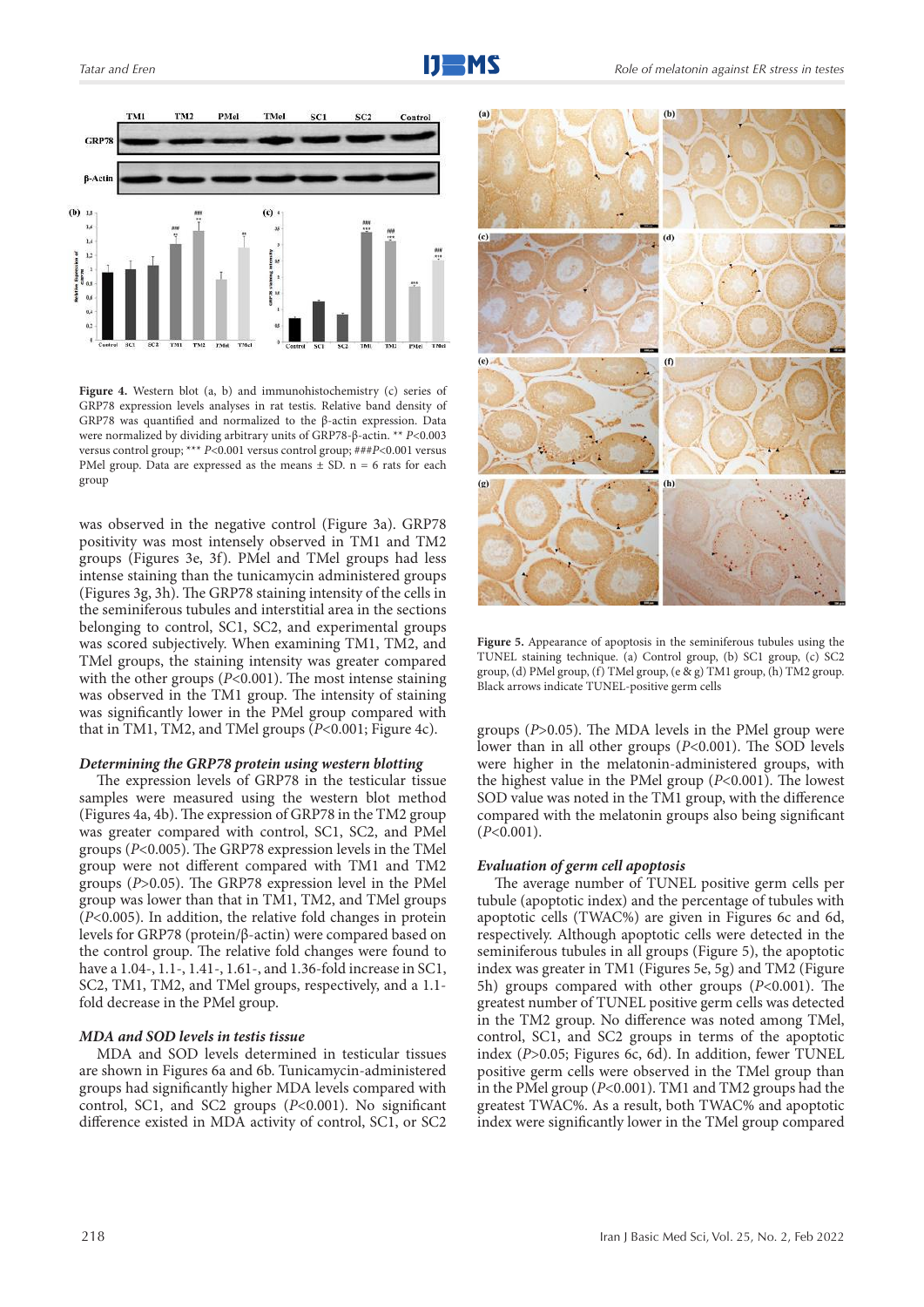



**Figure 4.** Western blot (a, b) and immunohistochemistry (c) series of GRP78 expression levels analyses in rat testis. Relative band density of GRP78 was quantified and normalized to the β-actin expression. Data were normalized by dividing arbitrary units of GRP78-β-actin. \*\* *P*<0.003 versus control group; \*\*\* *P*<0.001 versus control group; ###*P*<0.001 versus PMel group. Data are expressed as the means  $\pm$  SD. n = 6 rats for each group

was observed in the negative control (Figure 3a). GRP78 positivity was most intensely observed in TM1 and TM2 groups (Figures 3e, 3f). PMel and TMel groups had less intense staining than the tunicamycin administered groups (Figures 3g, 3h). The GRP78 staining intensity of the cells in the seminiferous tubules and interstitial area in the sections belonging to control, SC1, SC2, and experimental groups was scored subjectively. When examining TM1, TM2, and TMel groups, the staining intensity was greater compared with the other groups (*P*<0.001). The most intense staining was observed in the TM1 group. The intensity of staining was significantly lower in the PMel group compared with that in TM1, TM2, and TMel groups (*P*<0.001; Figure 4c).

#### *Determining the GRP78 protein using western blotting*

The expression levels of GRP78 in the testicular tissue samples were measured using the western blot method (Figures 4a, 4b). The expression of GRP78 in the TM2 group was greater compared with control, SC1, SC2, and PMel groups (*P*<0.005). The GRP78 expression levels in the TMel group were not different compared with TM1 and TM2 groups (*P*>0.05). The GRP78 expression level in the PMel group was lower than that in TM1, TM2, and TMel groups (*P*<0.005). In addition, the relative fold changes in protein levels for GRP78 (protein/β-actin) were compared based on the control group. The relative fold changes were found to have a 1.04-, 1.1-, 1.41-, 1.61-, and 1.36-fold increase in SC1, SC2, TM1, TM2, and TMel groups, respectively, and a 1.1 fold decrease in the PMel group.

#### *MDA and SOD levels in testis tissue*

MDA and SOD levels determined in testicular tissues are shown in Figures 6a and 6b. Tunicamycin-administered groups had significantly higher MDA levels compared with control, SC1, and SC2 groups (*P*<0.001). No significant difference existed in MDA activity of control, SC1, or SC2



**Figure 5.** Appearance of apoptosis in the seminiferous tubules using the TUNEL staining technique. (a) Control group, (b) SC1 group, (c) SC2 group, (d) PMel group, (f) TMel group, (e & g) TM1 group, (h) TM2 group. Black arrows indicate TUNEL-positive germ cells

groups (*P*>0.05). The MDA levels in the PMel group were lower than in all other groups (*P*<0.001). The SOD levels were higher in the melatonin-administered groups, with the highest value in the PMel group (*P*<0.001). The lowest SOD value was noted in the TM1 group, with the difference compared with the melatonin groups also being significant (*P*<0.001).

#### *Evaluation of germ cell apoptosis*

The average number of TUNEL positive germ cells per tubule (apoptotic index) and the percentage of tubules with apoptotic cells (TWAC%) are given in Figures 6c and 6d, respectively. Although apoptotic cells were detected in the seminiferous tubules in all groups (Figure 5), the apoptotic index was greater in TM1 (Figures 5e, 5g) and TM2 (Figure 5h) groups compared with other groups (*P*<0.001). The greatest number of TUNEL positive germ cells was detected in the TM2 group. No difference was noted among TMel, control, SC1, and SC2 groups in terms of the apoptotic index (*P*>0.05; Figures 6c, 6d). In addition, fewer TUNEL positive germ cells were observed in the TMel group than in the PMel group (*P*<0.001). TM1 and TM2 groups had the greatest TWAC%. As a result, both TWAC% and apoptotic index were significantly lower in the TMel group compared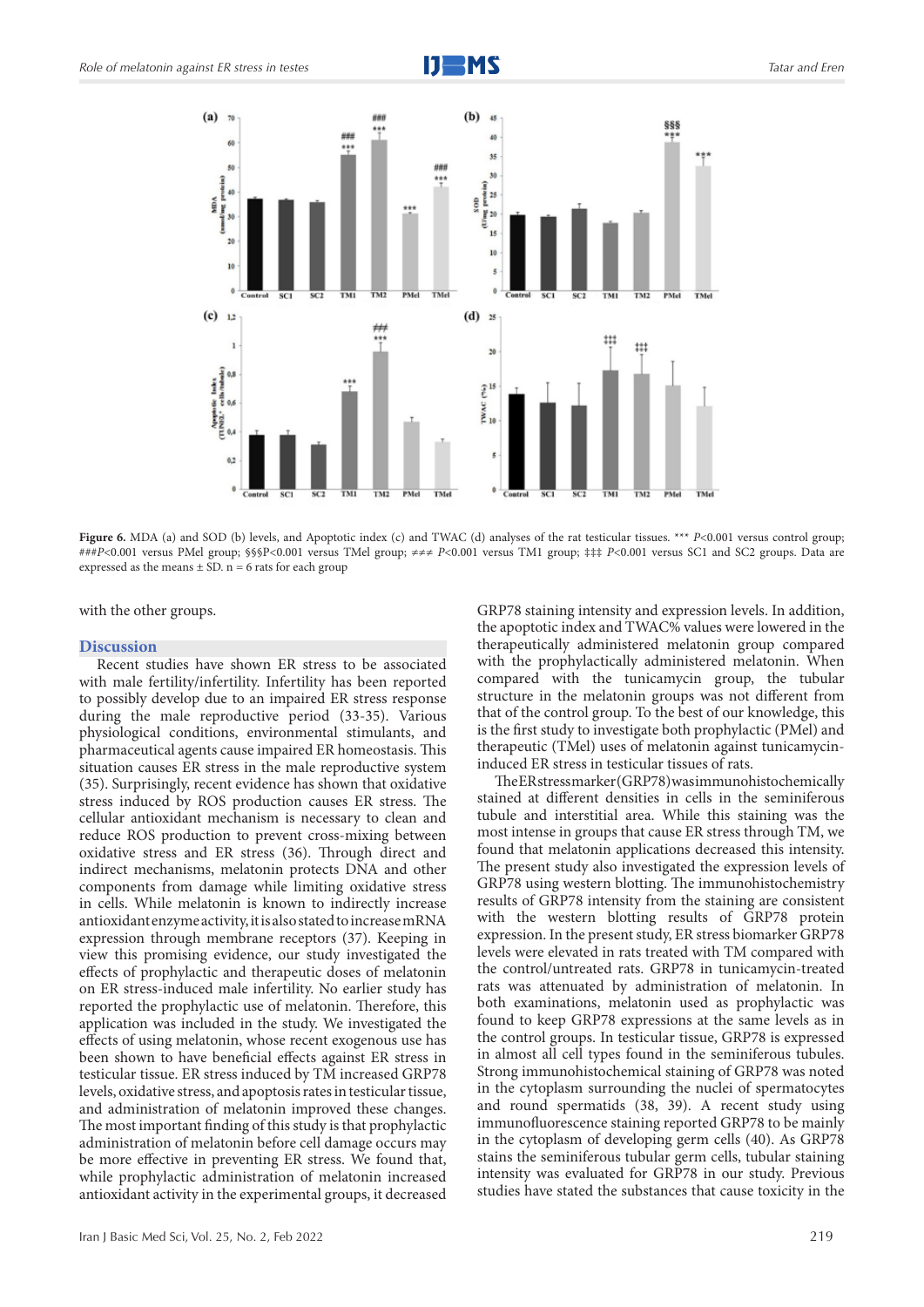



**Figure 6.** MDA (a) and SOD (b) levels, and Apoptotic index (c) and TWAC (d) analyses of the rat testicular tissues. \*\*\* *P*<0.001 versus control group; ###*P*<0.001 versus PMel group; §§§P<0.001 versus TMel group; ≠≠≠ *P*<0.001 versus TM1 group; ‡‡‡ *P*<0.001 versus SC1 and SC2 groups. Data are expressed as the means  $\pm$  SD. n = 6 rats for each group

with the other groups.

#### **Discussion**

Recent studies have shown ER stress to be associated with male fertility/infertility. Infertility has been reported to possibly develop due to an impaired ER stress response during the male reproductive period (33-35). Various physiological conditions, environmental stimulants, and pharmaceutical agents cause impaired ER homeostasis. This situation causes ER stress in the male reproductive system (35). Surprisingly, recent evidence has shown that oxidative stress induced by ROS production causes ER stress. The cellular antioxidant mechanism is necessary to clean and reduce ROS production to prevent cross-mixing between oxidative stress and ER stress (36). Through direct and indirect mechanisms, melatonin protects DNA and other components from damage while limiting oxidative stress in cells. While melatonin is known to indirectly increase antioxidant enzyme activity, it is also stated to increase mRNA expression through membrane receptors (37). Keeping in view this promising evidence, our study investigated the effects of prophylactic and therapeutic doses of melatonin on ER stress-induced male infertility. No earlier study has reported the prophylactic use of melatonin. Therefore, this application was included in the study. We investigated the effects of using melatonin, whose recent exogenous use has been shown to have beneficial effects against ER stress in testicular tissue. ER stress induced by TM increased GRP78 levels, oxidative stress, and apoptosis rates in testicular tissue, and administration of melatonin improved these changes. The most important finding of this study is that prophylactic administration of melatonin before cell damage occurs may be more effective in preventing ER stress. We found that, while prophylactic administration of melatonin increased antioxidant activity in the experimental groups, it decreased

GRP78 staining intensity and expression levels. In addition, the apoptotic index and TWAC% values were lowered in the therapeutically administered melatonin group compared with the prophylactically administered melatonin. When compared with the tunicamycin group, the tubular structure in the melatonin groups was not different from that of the control group. To the best of our knowledge, this is the first study to investigate both prophylactic (PMel) and therapeutic (TMel) uses of melatonin against tunicamycininduced ER stress in testicular tissues of rats.

The ER stress marker (GRP78) was immunohistochemically stained at different densities in cells in the seminiferous tubule and interstitial area. While this staining was the most intense in groups that cause ER stress through TM, we found that melatonin applications decreased this intensity. The present study also investigated the expression levels of GRP78 using western blotting. The immunohistochemistry results of GRP78 intensity from the staining are consistent with the western blotting results of GRP78 protein expression. In the present study, ER stress biomarker GRP78 levels were elevated in rats treated with TM compared with the control/untreated rats. GRP78 in tunicamycin-treated rats was attenuated by administration of melatonin. In both examinations, melatonin used as prophylactic was found to keep GRP78 expressions at the same levels as in the control groups. In testicular tissue, GRP78 is expressed in almost all cell types found in the seminiferous tubules. Strong immunohistochemical staining of GRP78 was noted in the cytoplasm surrounding the nuclei of spermatocytes and round spermatids (38, 39). A recent study using immunofluorescence staining reported GRP78 to be mainly in the cytoplasm of developing germ cells (40). As GRP78 stains the seminiferous tubular germ cells, tubular staining intensity was evaluated for GRP78 in our study. Previous studies have stated the substances that cause toxicity in the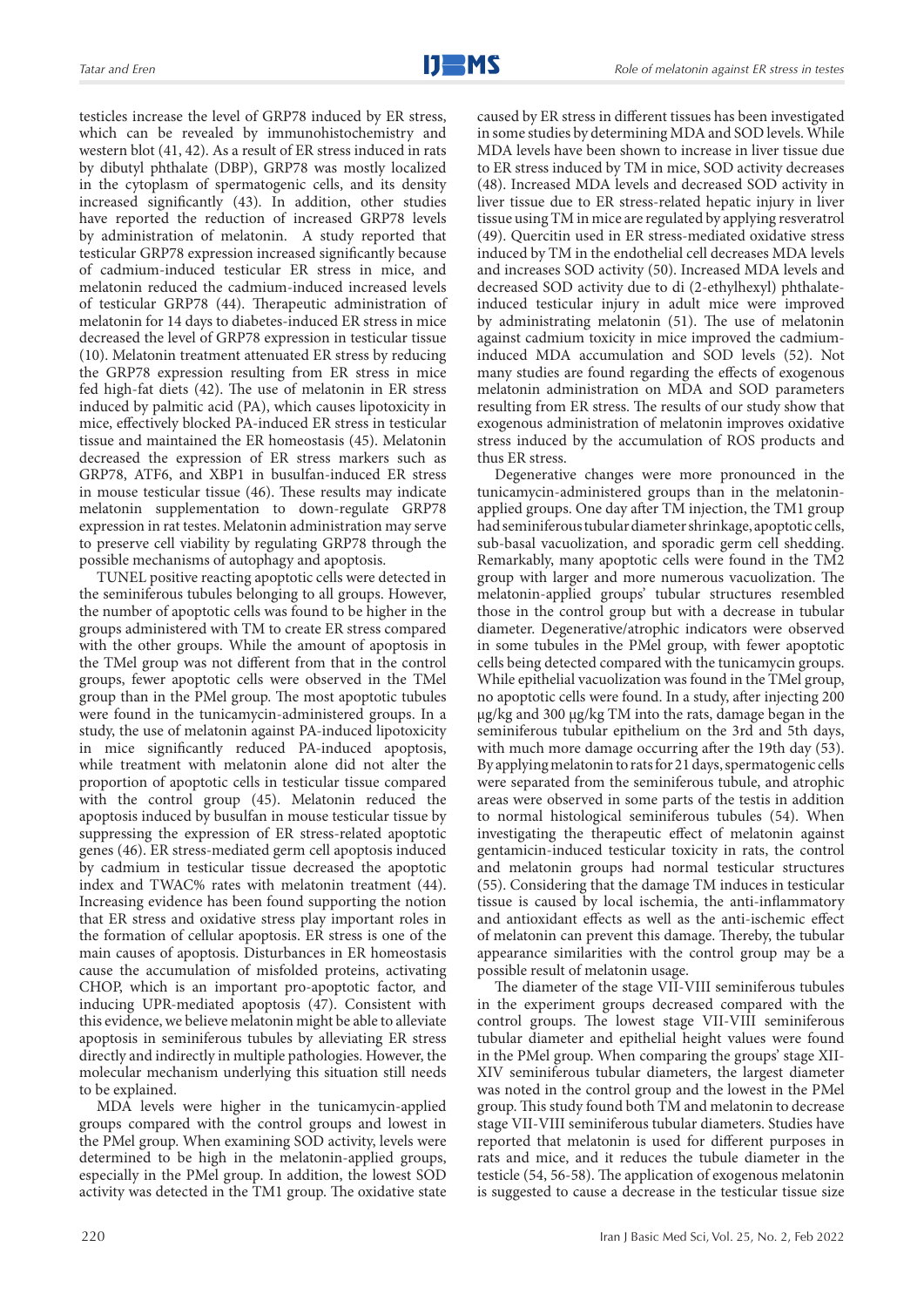testicles increase the level of GRP78 induced by ER stress, which can be revealed by immunohistochemistry and western blot (41, 42). As a result of ER stress induced in rats by dibutyl phthalate (DBP), GRP78 was mostly localized in the cytoplasm of spermatogenic cells, and its density increased significantly (43). In addition, other studies have reported the reduction of increased GRP78 levels by administration of melatonin. A study reported that testicular GRP78 expression increased significantly because of cadmium-induced testicular ER stress in mice, and melatonin reduced the cadmium-induced increased levels of testicular GRP78 (44). Therapeutic administration of melatonin for 14 days to diabetes-induced ER stress in mice decreased the level of GRP78 expression in testicular tissue (10). Melatonin treatment attenuated ER stress by reducing the GRP78 expression resulting from ER stress in mice fed high-fat diets (42). The use of melatonin in ER stress induced by palmitic acid (PA), which causes lipotoxicity in mice, effectively blocked PA-induced ER stress in testicular tissue and maintained the ER homeostasis (45). Melatonin decreased the expression of ER stress markers such as GRP78, ATF6, and XBP1 in busulfan-induced ER stress in mouse testicular tissue (46). These results may indicate melatonin supplementation to down-regulate GRP78 expression in rat testes. Melatonin administration may serve to preserve cell viability by regulating GRP78 through the possible mechanisms of autophagy and apoptosis.

TUNEL positive reacting apoptotic cells were detected in the seminiferous tubules belonging to all groups. However, the number of apoptotic cells was found to be higher in the groups administered with TM to create ER stress compared with the other groups. While the amount of apoptosis in the TMel group was not different from that in the control groups, fewer apoptotic cells were observed in the TMel group than in the PMel group. The most apoptotic tubules were found in the tunicamycin-administered groups. In a study, the use of melatonin against PA-induced lipotoxicity in mice significantly reduced PA-induced apoptosis, while treatment with melatonin alone did not alter the proportion of apoptotic cells in testicular tissue compared with the control group (45). Melatonin reduced the apoptosis induced by busulfan in mouse testicular tissue by suppressing the expression of ER stress-related apoptotic genes (46). ER stress-mediated germ cell apoptosis induced by cadmium in testicular tissue decreased the apoptotic index and TWAC% rates with melatonin treatment (44). Increasing evidence has been found supporting the notion that ER stress and oxidative stress play important roles in the formation of cellular apoptosis. ER stress is one of the main causes of apoptosis. Disturbances in ER homeostasis cause the accumulation of misfolded proteins, activating CHOP, which is an important pro-apoptotic factor, and inducing UPR-mediated apoptosis (47). Consistent with this evidence, we believe melatonin might be able to alleviate apoptosis in seminiferous tubules by alleviating ER stress directly and indirectly in multiple pathologies. However, the molecular mechanism underlying this situation still needs to be explained.

MDA levels were higher in the tunicamycin-applied groups compared with the control groups and lowest in the PMel group. When examining SOD activity, levels were determined to be high in the melatonin-applied groups, especially in the PMel group. In addition, the lowest SOD activity was detected in the TM1 group. The oxidative state caused by ER stress in different tissues has been investigated in some studies by determining MDA and SOD levels. While MDA levels have been shown to increase in liver tissue due to ER stress induced by TM in mice, SOD activity decreases (48). Increased MDA levels and decreased SOD activity in liver tissue due to ER stress-related hepatic injury in liver tissue using TM in mice are regulated by applying resveratrol (49). Quercitin used in ER stress-mediated oxidative stress induced by TM in the endothelial cell decreases MDA levels and increases SOD activity (50). Increased MDA levels and decreased SOD activity due to di (2-ethylhexyl) phthalateinduced testicular injury in adult mice were improved by administrating melatonin (51). The use of melatonin against cadmium toxicity in mice improved the cadmiuminduced MDA accumulation and SOD levels (52). Not many studies are found regarding the effects of exogenous melatonin administration on MDA and SOD parameters resulting from ER stress. The results of our study show that exogenous administration of melatonin improves oxidative stress induced by the accumulation of ROS products and thus ER stress.

Degenerative changes were more pronounced in the tunicamycin-administered groups than in the melatoninapplied groups. One day after TM injection, the TM1 group had seminiferous tubular diameter shrinkage, apoptotic cells, sub-basal vacuolization, and sporadic germ cell shedding. Remarkably, many apoptotic cells were found in the TM2 group with larger and more numerous vacuolization. The melatonin-applied groups' tubular structures resembled those in the control group but with a decrease in tubular diameter. Degenerative/atrophic indicators were observed in some tubules in the PMel group, with fewer apoptotic cells being detected compared with the tunicamycin groups. While epithelial vacuolization was found in the TMel group, no apoptotic cells were found. In a study, after injecting 200 μg/kg and 300 μg/kg TM into the rats, damage began in the seminiferous tubular epithelium on the 3rd and 5th days, with much more damage occurring after the 19th day (53). By applying melatonin to rats for 21 days, spermatogenic cells were separated from the seminiferous tubule, and atrophic areas were observed in some parts of the testis in addition to normal histological seminiferous tubules (54). When investigating the therapeutic effect of melatonin against gentamicin-induced testicular toxicity in rats, the control and melatonin groups had normal testicular structures (55). Considering that the damage TM induces in testicular tissue is caused by local ischemia, the anti-inflammatory and antioxidant effects as well as the anti-ischemic effect of melatonin can prevent this damage. Thereby, the tubular appearance similarities with the control group may be a possible result of melatonin usage.

The diameter of the stage VII-VIII seminiferous tubules in the experiment groups decreased compared with the control groups. The lowest stage VII-VIII seminiferous tubular diameter and epithelial height values were found in the PMel group. When comparing the groups' stage XII-XIV seminiferous tubular diameters, the largest diameter was noted in the control group and the lowest in the PMel group. This study found both TM and melatonin to decrease stage VII-VIII seminiferous tubular diameters. Studies have reported that melatonin is used for different purposes in rats and mice, and it reduces the tubule diameter in the testicle (54, 56-58). The application of exogenous melatonin is suggested to cause a decrease in the testicular tissue size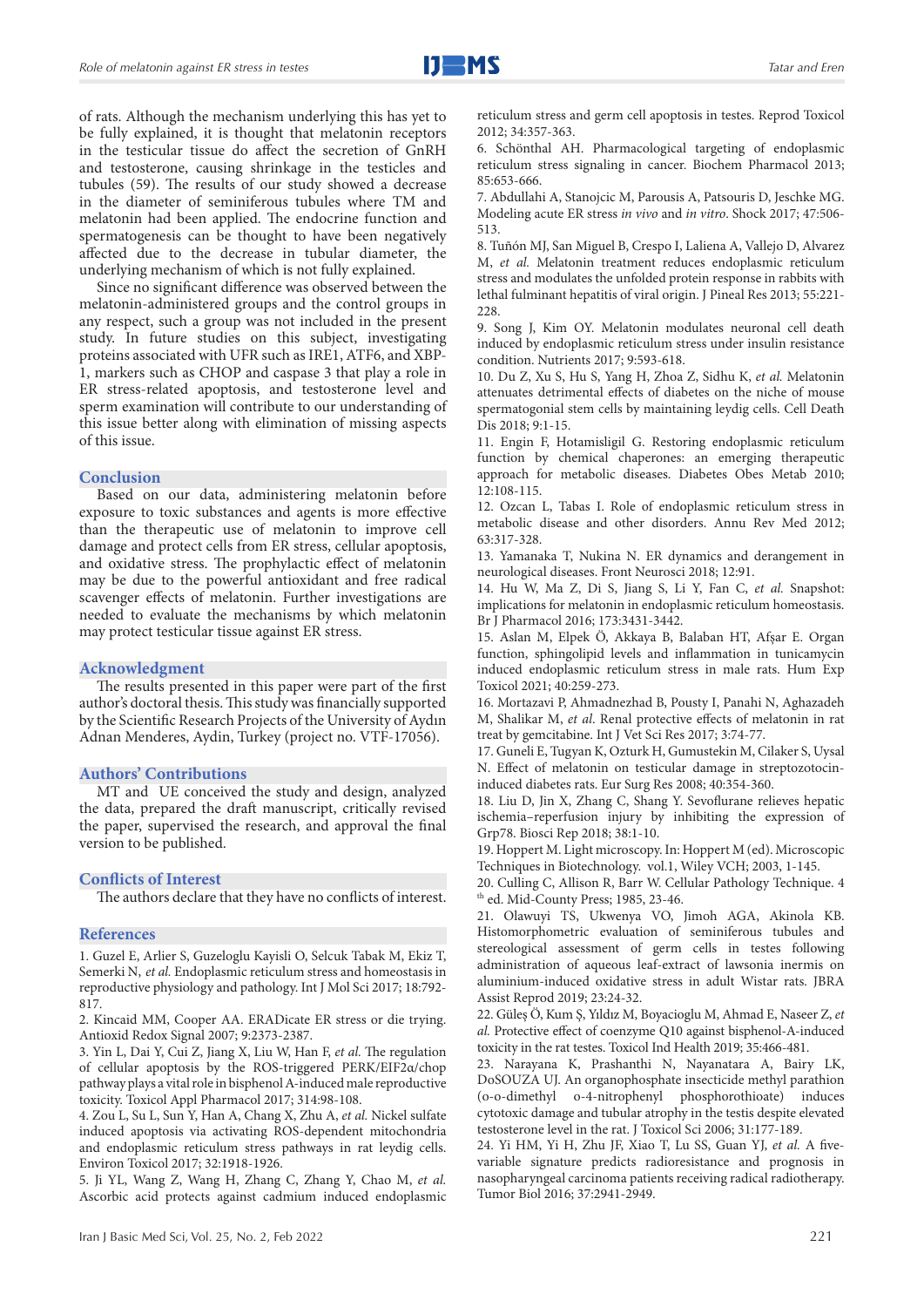of rats. Although the mechanism underlying this has yet to be fully explained, it is thought that melatonin receptors in the testicular tissue do affect the secretion of GnRH and testosterone, causing shrinkage in the testicles and tubules (59). The results of our study showed a decrease in the diameter of seminiferous tubules where TM and melatonin had been applied. The endocrine function and spermatogenesis can be thought to have been negatively affected due to the decrease in tubular diameter, the underlying mechanism of which is not fully explained.

Since no significant difference was observed between the melatonin-administered groups and the control groups in any respect, such a group was not included in the present study. In future studies on this subject, investigating proteins associated with UFR such as IRE1, ATF6, and XBP-1, markers such as CHOP and caspase 3 that play a role in ER stress-related apoptosis, and testosterone level and sperm examination will contribute to our understanding of this issue better along with elimination of missing aspects of this issue.

#### **Conclusion**

Based on our data, administering melatonin before exposure to toxic substances and agents is more effective than the therapeutic use of melatonin to improve cell damage and protect cells from ER stress, cellular apoptosis, and oxidative stress. The prophylactic effect of melatonin may be due to the powerful antioxidant and free radical scavenger effects of melatonin. Further investigations are needed to evaluate the mechanisms by which melatonin may protect testicular tissue against ER stress.

#### **Acknowledgment**

The results presented in this paper were part of the first author's doctoral thesis. This study was financially supported by the Scientific Research Projects of the University of Aydın Adnan Menderes, Aydin, Turkey (project no. VTF-17056).

#### **Authors' Contributions**

MT and UE conceived the study and design, analyzed the data, prepared the draft manuscript, critically revised the paper, supervised the research, and approval the final version to be published.

#### **Conflicts of Interest**

The authors declare that they have no conflicts of interest.

#### **References**

1. Guzel E, Arlier S, Guzeloglu Kayisli O, Selcuk Tabak M, Ekiz T, Semerki N, *et al.* Endoplasmic reticulum stress and homeostasis in reproductive physiology and pathology. Int J Mol Sci 2017; 18:792- 817.

2. Kincaid MM, Cooper AA. ERADicate ER stress or die trying. Antioxid Redox Signal 2007; 9:2373-2387.

3. Yin L, Dai Y, Cui Z, Jiang X, Liu W, Han F, *et al.* The regulation of cellular apoptosis by the ROS-triggered PERK/EIF2α/chop pathway plays a vital role in bisphenol A-induced male reproductive toxicity. Toxicol Appl Pharmacol 2017; 314:98-108.

4. Zou L, Su L, Sun Y, Han A, Chang X, Zhu A, *et al.* Nickel sulfate induced apoptosis via activating ROS-dependent mitochondria and endoplasmic reticulum stress pathways in rat leydig cells. Environ Toxicol 2017; 32:1918-1926.

5. Ji YL, Wang Z, Wang H, Zhang C, Zhang Y, Chao M, *et al.* Ascorbic acid protects against cadmium induced endoplasmic reticulum stress and germ cell apoptosis in testes. Reprod Toxicol 2012; 34:357-363.

6. Schönthal AH. Pharmacological targeting of endoplasmic reticulum stress signaling in cancer. Biochem Pharmacol 2013; 85:653-666.

7. Abdullahi A, Stanojcic M, Parousis A, Patsouris D, Jeschke MG. Modeling acute ER stress *in vivo* and *in vitro*. Shock 2017; 47:506- 513.

8. Tuñón MJ, San Miguel B, Crespo I, Laliena A, Vallejo D, Alvarez M, *et al.* Melatonin treatment reduces endoplasmic reticulum stress and modulates the unfolded protein response in rabbits with lethal fulminant hepatitis of viral origin. J Pineal Res 2013; 55:221-  $228$ 

9. Song J, Kim OY. Melatonin modulates neuronal cell death induced by endoplasmic reticulum stress under insulin resistance condition. Nutrients 2017; 9:593-618.

10. Du Z, Xu S, Hu S, Yang H, Zhoa Z, Sidhu K, *et al.* Melatonin attenuates detrimental effects of diabetes on the niche of mouse spermatogonial stem cells by maintaining leydig cells. Cell Death Dis 2018; 9:1-15.

11. Engin F, Hotamisligil G. Restoring endoplasmic reticulum function by chemical chaperones: an emerging therapeutic approach for metabolic diseases. Diabetes Obes Metab 2010; 12:108-115.

12. Ozcan L, Tabas I. Role of endoplasmic reticulum stress in metabolic disease and other disorders. Annu Rev Med 2012; 63:317-328.

13. Yamanaka T, Nukina N. ER dynamics and derangement in neurological diseases. Front Neurosci 2018; 12:91.

14. Hu W, Ma Z, Di S, Jiang S, Li Y, Fan C, *et al.* Snapshot: implications for melatonin in endoplasmic reticulum homeostasis. Br J Pharmacol 2016; 173:3431-3442.

15. Aslan M, Elpek Ö, Akkaya B, Balaban HT, Afşar E. Organ function, sphingolipid levels and inflammation in tunicamycin induced endoplasmic reticulum stress in male rats. Hum Exp Toxicol 2021; 40:259-273.

16. Mortazavi P, Ahmadnezhad B, Pousty I, Panahi N, Aghazadeh M, Shalikar M, *et al*. Renal protective effects of melatonin in rat treat by gemcitabine. Int J Vet Sci Res 2017; 3:74-77.

17. Guneli E, Tugyan K, Ozturk H, Gumustekin M, Cilaker S, Uysal N. Effect of melatonin on testicular damage in streptozotocininduced diabetes rats. Eur Surg Res 2008; 40:354-360.

18. Liu D, Jin X, Zhang C, Shang Y. Sevoflurane relieves hepatic ischemia–reperfusion injury by inhibiting the expression of Grp78. Biosci Rep 2018; 38:1-10.

19. Hoppert M. Light microscopy. In: Hoppert M (ed). Microscopic Techniques in Biotechnology. vol.1, Wiley VCH; 2003, 1-145.

20. Culling C, Allison R, Barr W. Cellular Pathology Technique. 4 <sup>th</sup> ed. Mid-County Press; 1985, 23-46.

21. Olawuyi TS, Ukwenya VO, Jimoh AGA, Akinola KB. Histomorphometric evaluation of seminiferous tubules and stereological assessment of germ cells in testes following administration of aqueous leaf-extract of lawsonia inermis on aluminium-induced oxidative stress in adult Wistar rats. JBRA Assist Reprod 2019; 23:24-32.

22. Güleş Ö, Kum Ş, Yıldız M, Boyacioglu M, Ahmad E, Naseer Z, *et al.* Protective effect of coenzyme Q10 against bisphenol-A-induced toxicity in the rat testes. Toxicol Ind Health 2019; 35:466-481.

23. Narayana K, Prashanthi N, Nayanatara A, Bairy LK, DoSOUZA UJ. An organophosphate insecticide methyl parathion (o-o-dimethyl o-4-nitrophenyl phosphorothioate) induces cytotoxic damage and tubular atrophy in the testis despite elevated testosterone level in the rat. J Toxicol Sci 2006; 31:177-189.

24. Yi HM, Yi H, Zhu JF, Xiao T, Lu SS, Guan YJ, *et al.* A fivevariable signature predicts radioresistance and prognosis in nasopharyngeal carcinoma patients receiving radical radiotherapy. Tumor Biol 2016; 37:2941-2949.